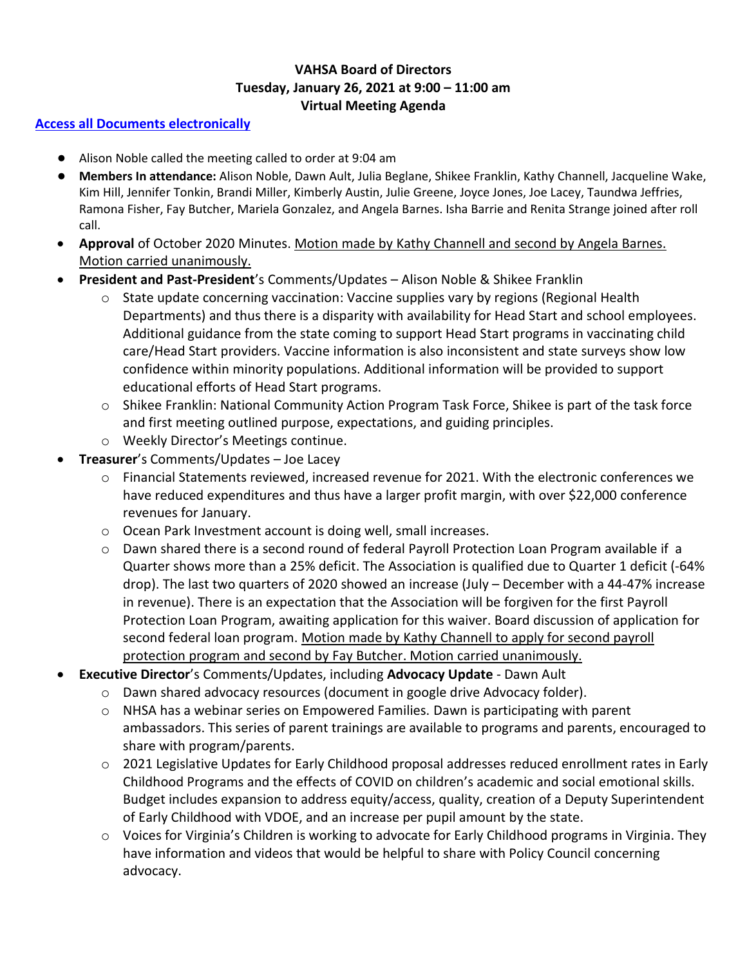## **VAHSA Board of Directors Tuesday, January 26, 2021 at 9:00 – 11:00 am Virtual Meeting Agenda**

## **[Access all Documents electronically](https://drive.google.com/drive/folders/1ILvRLyn0bK_k0kD3HGycq77qkMXn4An1?usp=sharing)**

- Alison Noble called the meeting called to order at 9:04 am
- **Members In attendance:** Alison Noble, Dawn Ault, Julia Beglane, Shikee Franklin, Kathy Channell, Jacqueline Wake, Kim Hill, Jennifer Tonkin, Brandi Miller, Kimberly Austin, Julie Greene, Joyce Jones, Joe Lacey, Taundwa Jeffries, Ramona Fisher, Fay Butcher, Mariela Gonzalez, and Angela Barnes. Isha Barrie and Renita Strange joined after roll call.
- **Approval** of October 2020 Minutes. Motion made by Kathy Channell and second by Angela Barnes. Motion carried unanimously.
- **President and Past-President**'s Comments/Updates Alison Noble & Shikee Franklin
	- $\circ$  State update concerning vaccination: Vaccine supplies vary by regions (Regional Health Departments) and thus there is a disparity with availability for Head Start and school employees. Additional guidance from the state coming to support Head Start programs in vaccinating child care/Head Start providers. Vaccine information is also inconsistent and state surveys show low confidence within minority populations. Additional information will be provided to support educational efforts of Head Start programs.
	- $\circ$  Shikee Franklin: National Community Action Program Task Force, Shikee is part of the task force and first meeting outlined purpose, expectations, and guiding principles.
	- o Weekly Director's Meetings continue.
- **Treasurer**'s Comments/Updates Joe Lacey
	- $\circ$  Financial Statements reviewed, increased revenue for 2021. With the electronic conferences we have reduced expenditures and thus have a larger profit margin, with over \$22,000 conference revenues for January.
	- o Ocean Park Investment account is doing well, small increases.
	- $\circ$  Dawn shared there is a second round of federal Payroll Protection Loan Program available if a Quarter shows more than a 25% deficit. The Association is qualified due to Quarter 1 deficit (-64% drop). The last two quarters of 2020 showed an increase (July – December with a 44-47% increase in revenue). There is an expectation that the Association will be forgiven for the first Payroll Protection Loan Program, awaiting application for this waiver. Board discussion of application for second federal loan program. Motion made by Kathy Channell to apply for second payroll protection program and second by Fay Butcher. Motion carried unanimously.
- **Executive Director**'s Comments/Updates, including **Advocacy Update** Dawn Ault
	- $\circ$  Dawn shared advocacy resources (document in google drive Advocacy folder).
	- $\circ$  NHSA has a webinar series on Empowered Families. Dawn is participating with parent ambassadors. This series of parent trainings are available to programs and parents, encouraged to share with program/parents.
	- o 2021 Legislative Updates for Early Childhood proposal addresses reduced enrollment rates in Early Childhood Programs and the effects of COVID on children's academic and social emotional skills. Budget includes expansion to address equity/access, quality, creation of a Deputy Superintendent of Early Childhood with VDOE, and an increase per pupil amount by the state.
	- o Voices for Virginia's Children is working to advocate for Early Childhood programs in Virginia. They have information and videos that would be helpful to share with Policy Council concerning advocacy.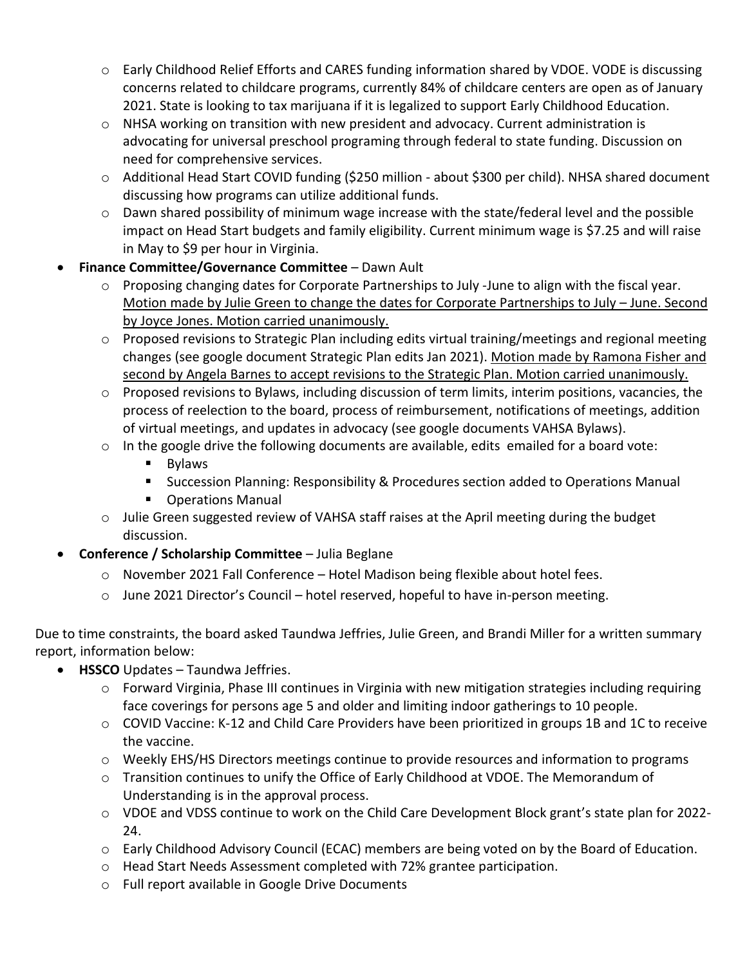- o Early Childhood Relief Efforts and CARES funding information shared by VDOE. VODE is discussing concerns related to childcare programs, currently 84% of childcare centers are open as of January 2021. State is looking to tax marijuana if it is legalized to support Early Childhood Education.
- $\circ$  NHSA working on transition with new president and advocacy. Current administration is advocating for universal preschool programing through federal to state funding. Discussion on need for comprehensive services.
- o Additional Head Start COVID funding (\$250 million about \$300 per child). NHSA shared document discussing how programs can utilize additional funds.
- $\circ$  Dawn shared possibility of minimum wage increase with the state/federal level and the possible impact on Head Start budgets and family eligibility. Current minimum wage is \$7.25 and will raise in May to \$9 per hour in Virginia.
- **Finance Committee/Governance Committee** Dawn Ault
	- $\circ$  Proposing changing dates for Corporate Partnerships to July -June to align with the fiscal year. Motion made by Julie Green to change the dates for Corporate Partnerships to July – June. Second by Joyce Jones. Motion carried unanimously.
	- o Proposed revisions to Strategic Plan including edits virtual training/meetings and regional meeting changes (see google document Strategic Plan edits Jan 2021). Motion made by Ramona Fisher and second by Angela Barnes to accept revisions to the Strategic Plan. Motion carried unanimously.
	- $\circ$  Proposed revisions to Bylaws, including discussion of term limits, interim positions, vacancies, the process of reelection to the board, process of reimbursement, notifications of meetings, addition of virtual meetings, and updates in advocacy (see google documents VAHSA Bylaws).
	- $\circ$  In the google drive the following documents are available, edits emailed for a board vote:
		- Bylaws
		- Succession Planning: Responsibility & Procedures section added to Operations Manual
		- Operations Manual
	- $\circ$  Julie Green suggested review of VAHSA staff raises at the April meeting during the budget discussion.
- **Conference / Scholarship Committee** Julia Beglane
	- o November 2021 Fall Conference Hotel Madison being flexible about hotel fees.
	- o June 2021 Director's Council hotel reserved, hopeful to have in-person meeting.

Due to time constraints, the board asked Taundwa Jeffries, Julie Green, and Brandi Miller for a written summary report, information below:

- **HSSCO** Updates Taundwa Jeffries.
	- o Forward Virginia, Phase III continues in Virginia with new mitigation strategies including requiring face coverings for persons age 5 and older and limiting indoor gatherings to 10 people.
	- o COVID Vaccine: K-12 and Child Care Providers have been prioritized in groups 1B and 1C to receive the vaccine.
	- $\circ$  Weekly EHS/HS Directors meetings continue to provide resources and information to programs
	- o Transition continues to unify the Office of Early Childhood at VDOE. The Memorandum of Understanding is in the approval process.
	- o VDOE and VDSS continue to work on the Child Care Development Block grant's state plan for 2022- 24.
	- $\circ$  Early Childhood Advisory Council (ECAC) members are being voted on by the Board of Education.
	- o Head Start Needs Assessment completed with 72% grantee participation.
	- o Full report available in Google Drive Documents